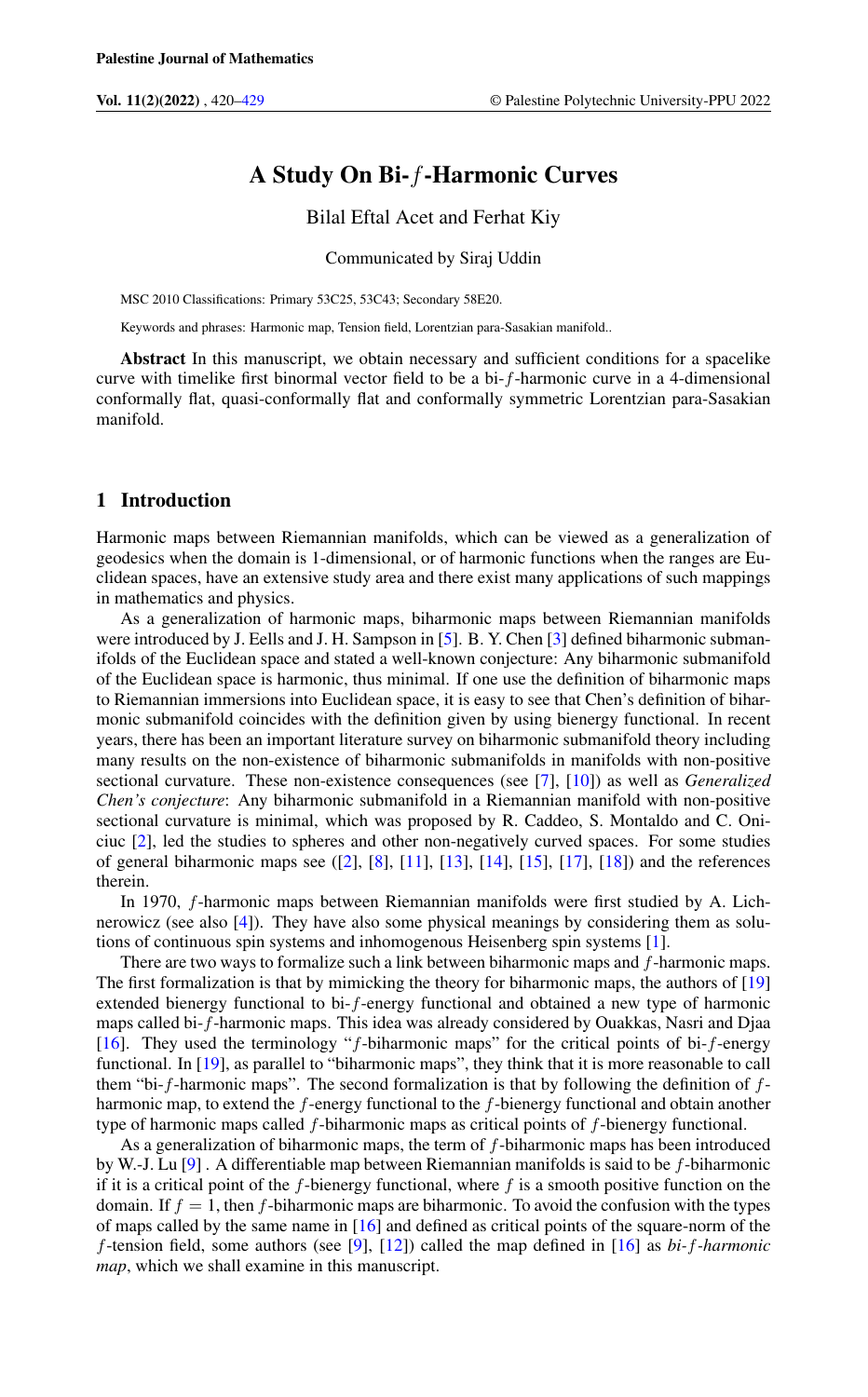# A Study On Bi-f-Harmonic Curves

Bilal Eftal Acet and Ferhat Kiy

Communicated by Siraj Uddin

MSC 2010 Classifications: Primary 53C25, 53C43; Secondary 58E20.

Keywords and phrases: Harmonic map, Tension field, Lorentzian para-Sasakian manifold..

Abstract In this manuscript, we obtain necessary and sufficient conditions for a spacelike curve with timelike first binormal vector field to be a bi-f-harmonic curve in a 4-dimensional conformally flat, quasi-conformally flat and conformally symmetric Lorentzian para-Sasakian manifold.

# 1 Introduction

Harmonic maps between Riemannian manifolds, which can be viewed as a generalization of geodesics when the domain is 1-dimensional, or of harmonic functions when the ranges are Euclidean spaces, have an extensive study area and there exist many applications of such mappings in mathematics and physics.

As a generalization of harmonic maps, biharmonic maps between Riemannian manifolds were introduced by J. Eells and J. H. Sampson in [\[5\]](#page-8-0). B. Y. Chen [\[3\]](#page-8-1) defined biharmonic submanifolds of the Euclidean space and stated a well-known conjecture: Any biharmonic submanifold of the Euclidean space is harmonic, thus minimal. If one use the definition of biharmonic maps to Riemannian immersions into Euclidean space, it is easy to see that Chen's definition of biharmonic submanifold coincides with the definition given by using bienergy functional. In recent years, there has been an important literature survey on biharmonic submanifold theory including many results on the non-existence of biharmonic submanifolds in manifolds with non-positive sectional curvature. These non-existence consequences (see [\[7\]](#page-8-2), [\[10\]](#page-8-3)) as well as *Generalized Chen's conjecture*: Any biharmonic submanifold in a Riemannian manifold with non-positive sectional curvature is minimal, which was proposed by R. Caddeo, S. Montaldo and C. Oniciuc [\[2\]](#page-8-4), led the studies to spheres and other non-negatively curved spaces. For some studies of general biharmonic maps see  $(2]$ ,  $[8]$ ,  $[11]$ ,  $[13]$ ,  $[14]$ ,  $[15]$ ,  $[17]$ ,  $[18]$ ) and the references therein.

In 1970, f-harmonic maps between Riemannian manifolds were first studied by A. Lichnerowicz (see also [\[4\]](#page-8-12)). They have also some physical meanings by considering them as solutions of continuous spin systems and inhomogenous Heisenberg spin systems [\[1\]](#page-7-1).

There are two ways to formalize such a link between biharmonic maps and f-harmonic maps. The first formalization is that by mimicking the theory for biharmonic maps, the authors of [\[19\]](#page-8-13) extended bienergy functional to bi-f-energy functional and obtained a new type of harmonic maps called bi-f-harmonic maps. This idea was already considered by Ouakkas, Nasri and Djaa [\[16\]](#page-8-14). They used the terminology "f-biharmonic maps" for the critical points of bi-f-energy functional. In [\[19\]](#page-8-13), as parallel to "biharmonic maps", they think that it is more reasonable to call them "bi-f-harmonic maps". The second formalization is that by following the definition of  $f$ harmonic map, to extend the f-energy functional to the f-bienergy functional and obtain another type of harmonic maps called  $f$ -biharmonic maps as critical points of  $f$ -bienergy functional.

As a generalization of biharmonic maps, the term of f-biharmonic maps has been introduced by W.-J. Lu  $[9]$ . A differentiable map between Riemannian manifolds is said to be f-biharmonic if it is a critical point of the  $f$ -bienergy functional, where  $f$  is a smooth positive function on the domain. If  $f = 1$ , then f-biharmonic maps are biharmonic. To avoid the confusion with the types of maps called by the same name in [\[16\]](#page-8-14) and defined as critical points of the square-norm of the f-tension field, some authors (see [\[9\]](#page-8-15), [\[12\]](#page-8-16)) called the map defined in [\[16\]](#page-8-14) as *bi-*f*-harmonic map*, which we shall examine in this manuscript.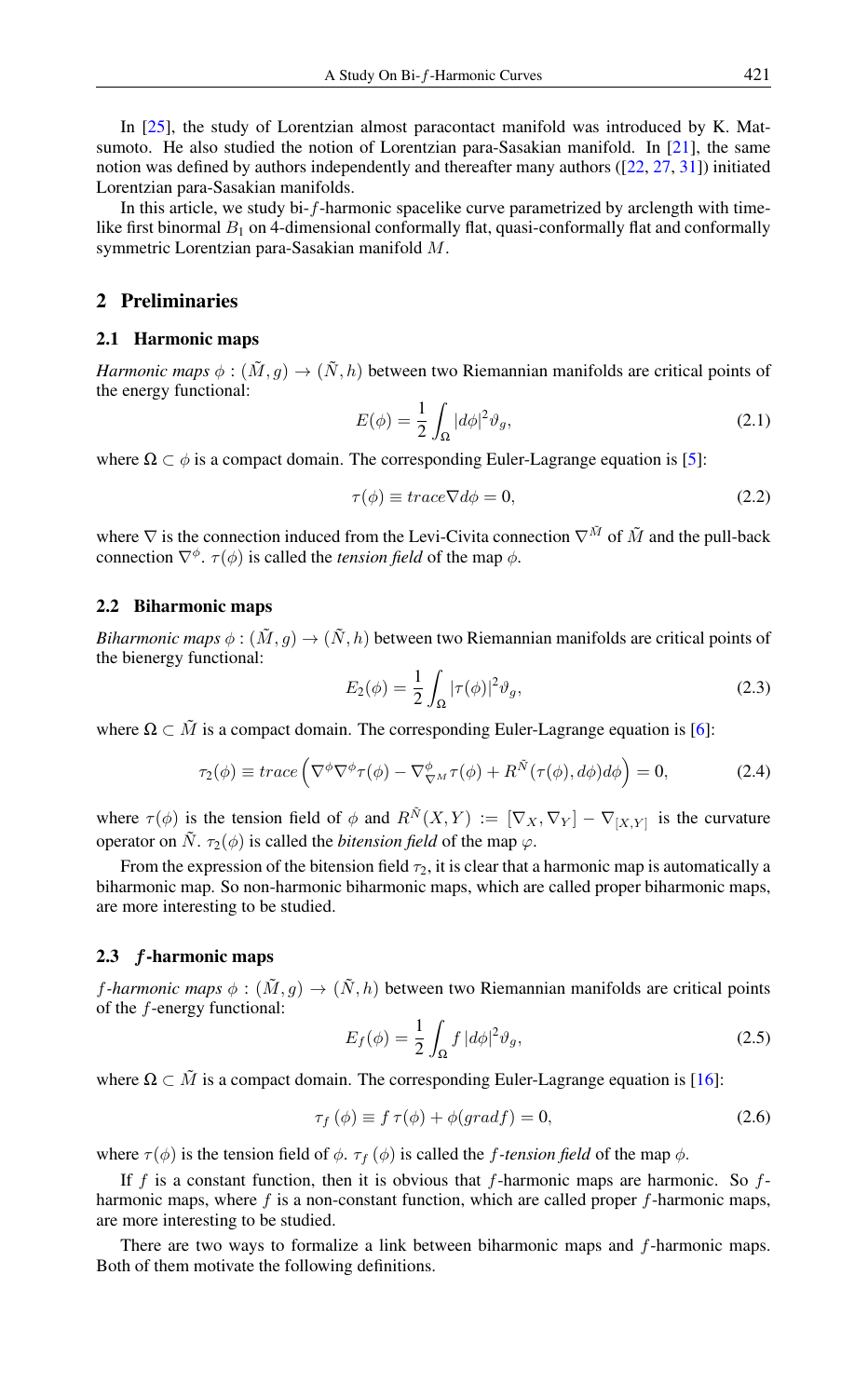In [\[25\]](#page-8-17), the study of Lorentzian almost paracontact manifold was introduced by K. Matsumoto. He also studied the notion of Lorentzian para-Sasakian manifold. In [\[21\]](#page-8-18), the same notion was defined by authors independently and thereafter many authors ([\[22,](#page-8-19) [27,](#page-8-20) [31\]](#page-8-21)) initiated Lorentzian para-Sasakian manifolds.

In this article, we study bi-f-harmonic spacelike curve parametrized by arclength with timelike first binormal  $B_1$  on 4-dimensional conformally flat, quasi-conformally flat and conformally symmetric Lorentzian para-Sasakian manifold M.

# 2 Preliminaries

## 2.1 Harmonic maps

*Harmonic maps*  $\phi : (\tilde{M}, g) \to (\tilde{N}, h)$  between two Riemannian manifolds are critical points of the energy functional:

$$
E(\phi) = \frac{1}{2} \int_{\Omega} |d\phi|^2 \vartheta_g,
$$
\n(2.1)

where  $\Omega \subset \phi$  is a compact domain. The corresponding Euler-Lagrange equation is [\[5\]](#page-8-0):

$$
\tau(\phi) \equiv trace \nabla d\phi = 0,\tag{2.2}
$$

where  $\nabla$  is the connection induced from the Levi-Civita connection  $\nabla^{\tilde{M}}$  of  $\tilde{M}$  and the pull-back connection  $\nabla^{\phi}$ .  $\tau(\phi)$  is called the *tension field* of the map  $\phi$ .

## 2.2 Biharmonic maps

*Biharmonic maps*  $\phi : (\tilde{M}, g) \to (\tilde{N}, h)$  between two Riemannian manifolds are critical points of the bienergy functional:

$$
E_2(\phi) = \frac{1}{2} \int_{\Omega} |\tau(\phi)|^2 \vartheta_g,
$$
\n(2.3)

where  $\Omega \subset \tilde{M}$  is a compact domain. The corresponding Euler-Lagrange equation is [\[6\]](#page-8-22):

$$
\tau_2(\phi) \equiv trace \left( \nabla^{\phi} \nabla^{\phi} \tau(\phi) - \nabla^{\phi} \nabla^{\mu} \tau(\phi) + R^{\tilde{N}}(\tau(\phi), d\phi) d\phi \right) = 0, \tag{2.4}
$$

where  $\tau(\phi)$  is the tension field of  $\phi$  and  $R^{\tilde{N}}(X,Y) := [\nabla_X, \nabla_Y] - \nabla_{[X,Y]}$  is the curvature operator on  $\tilde{N}$ .  $\tau_2(\phi)$  is called the *bitension field* of the map  $\varphi$ .

From the expression of the bitension field  $\tau_2$ , it is clear that a harmonic map is automatically a biharmonic map. So non-harmonic biharmonic maps, which are called proper biharmonic maps, are more interesting to be studied.

## 2.3 f-harmonic maps

*f*-harmonic maps  $\phi : (\tilde{M}, g) \to (\tilde{N}, h)$  between two Riemannian manifolds are critical points of the f-energy functional:

<span id="page-1-0"></span>
$$
E_f(\phi) = \frac{1}{2} \int_{\Omega} f \, |d\phi|^2 \vartheta_g,\tag{2.5}
$$

where  $\Omega \subset \tilde{M}$  is a compact domain. The corresponding Euler-Lagrange equation is [\[16\]](#page-8-14):

$$
\tau_f(\phi) \equiv f \,\tau(\phi) + \phi(gradf) = 0,\tag{2.6}
$$

where  $\tau(\phi)$  is the tension field of  $\phi$ .  $\tau_f(\phi)$  is called the *f-tension field* of the map  $\phi$ .

If f is a constant function, then it is obvious that f-harmonic maps are harmonic. So  $f$ harmonic maps, where  $f$  is a non-constant function, which are called proper  $f$ -harmonic maps, are more interesting to be studied.

There are two ways to formalize a link between biharmonic maps and f-harmonic maps. Both of them motivate the following definitions.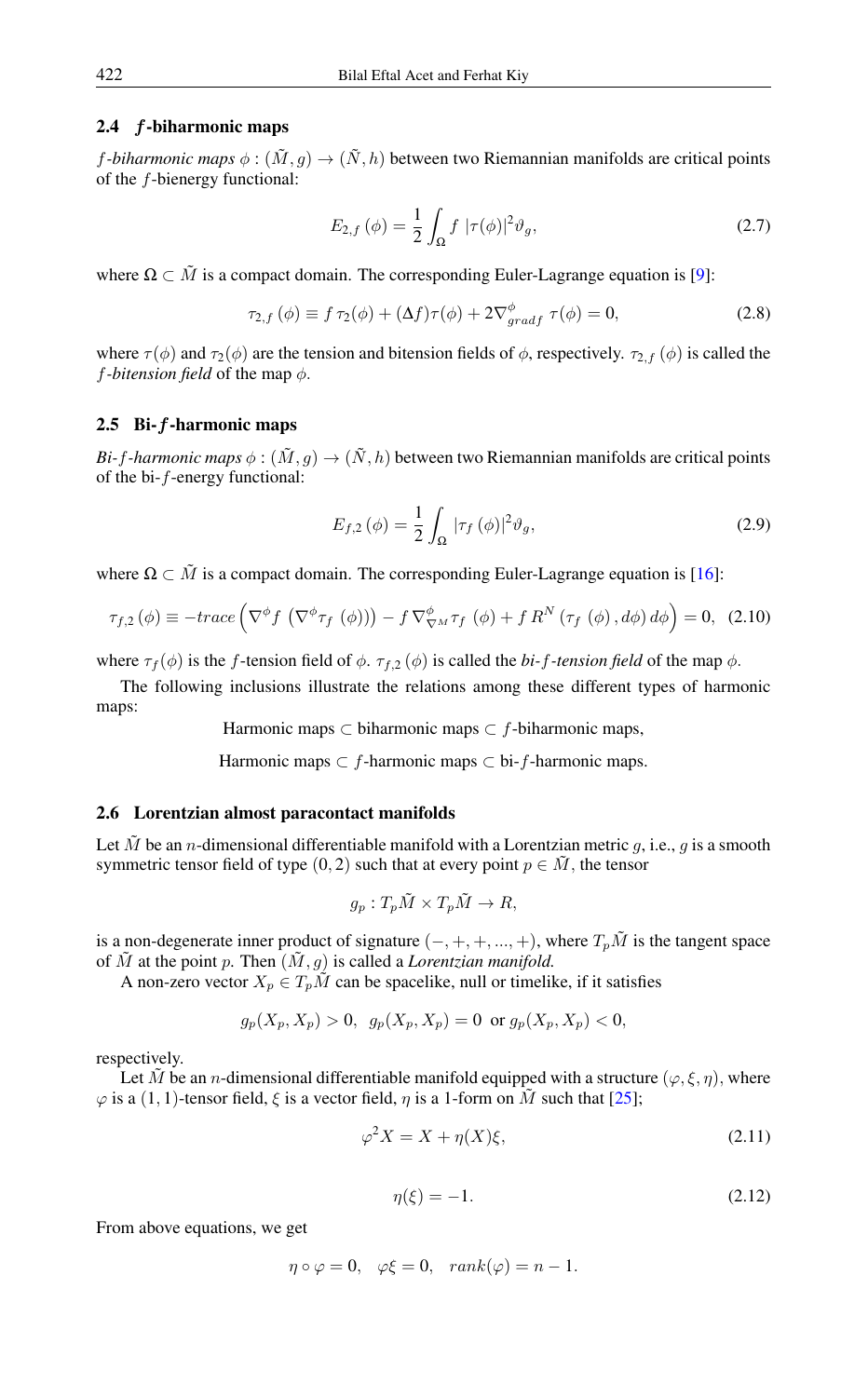## 2.4 f-biharmonic maps

*f*-biharmonic maps  $\phi : (\tilde{M}, g) \to (\tilde{N}, h)$  between two Riemannian manifolds are critical points of the f-bienergy functional:

$$
E_{2,f}(\phi) = \frac{1}{2} \int_{\Omega} f |\tau(\phi)|^2 \vartheta_g, \qquad (2.7)
$$

where  $\Omega \subset \tilde{M}$  is a compact domain. The corresponding Euler-Lagrange equation is [\[9\]](#page-8-15):

$$
\tau_{2,f}(\phi) \equiv f \,\tau_2(\phi) + (\Delta f)\tau(\phi) + 2\nabla_{gradf}^{\phi} \,\tau(\phi) = 0,\tag{2.8}
$$

where  $\tau(\phi)$  and  $\tau_2(\phi)$  are the tension and bitension fields of  $\phi$ , respectively.  $\tau_{2,f}(\phi)$  is called the *f*-bitension field of the map  $\phi$ .

#### 2.5 Bi-f-harmonic maps

*Bi-f-harmonic maps*  $\phi : (\tilde{M}, g) \to (\tilde{N}, h)$  between two Riemannian manifolds are critical points of the bi-f-energy functional:

$$
E_{f,2}\left(\phi\right) = \frac{1}{2} \int_{\Omega} |\tau_f\left(\phi\right)|^2 \vartheta_g,\tag{2.9}
$$

where  $\Omega \subset \tilde{M}$  is a compact domain. The corresponding Euler-Lagrange equation is [\[16\]](#page-8-14):

$$
\tau_{f,2}\left(\phi\right) \equiv -trace\left(\nabla^{\phi}f\left(\nabla^{\phi}\tau_{f}\left(\phi\right)\right)\right) - f\nabla^{\phi}_{\nabla^{M}}\tau_{f}\left(\phi\right) + f R^{N}\left(\tau_{f}\left(\phi\right),d\phi\right)d\phi\right) = 0, (2.10)
$$

where  $\tau_f(\phi)$  is the f-tension field of  $\phi$ .  $\tau_{f,2}(\phi)$  is called the *bi-f-tension field* of the map  $\phi$ .

The following inclusions illustrate the relations among these different types of harmonic maps:

Harmonic maps ⊂ biharmonic maps  $\subset f$ -biharmonic maps,

Harmonic maps  $\subset f$ -harmonic maps  $\subset$  bi- $f$ -harmonic maps.

## 2.6 Lorentzian almost paracontact manifolds

Let  $\tilde{M}$  be an *n*-dimensional differentiable manifold with a Lorentzian metric g, i.e., g is a smooth symmetric tensor field of type  $(0, 2)$  such that at every point  $p \in M$ , the tensor

$$
g_p: T_p\tilde{M} \times T_p\tilde{M} \to R,
$$

is a non-degenerate inner product of signature  $(-, +, +, ..., +)$ , where  $T_p\tilde{M}$  is the tangent space of  $\tilde{M}$  at the point p. Then  $(\tilde{M}, g)$  is called a *Lorentzian manifold*.

A non-zero vector  $X_p \in T_p\tilde{M}$  can be spacelike, null or timelike, if it satisfies

$$
g_p(X_p, X_p) > 0, \ \ g_p(X_p, X_p) = 0 \ \text{ or } g_p(X_p, X_p) < 0,
$$

respectively.

Let  $\tilde{M}$  be an *n*-dimensional differentiable manifold equipped with a structure ( $\varphi, \xi, \eta$ ), where  $\varphi$  is a (1, 1)-tensor field,  $\xi$  is a vector field,  $\eta$  is a 1-form on  $\tilde{M}$  such that [\[25\]](#page-8-17);

$$
\varphi^2 X = X + \eta(X)\xi,\tag{2.11}
$$

<span id="page-2-0"></span>
$$
\eta(\xi) = -1.\tag{2.12}
$$

<span id="page-2-1"></span>From above equations, we get

$$
\eta \circ \varphi = 0, \quad \varphi \xi = 0, \quad rank(\varphi) = n - 1.
$$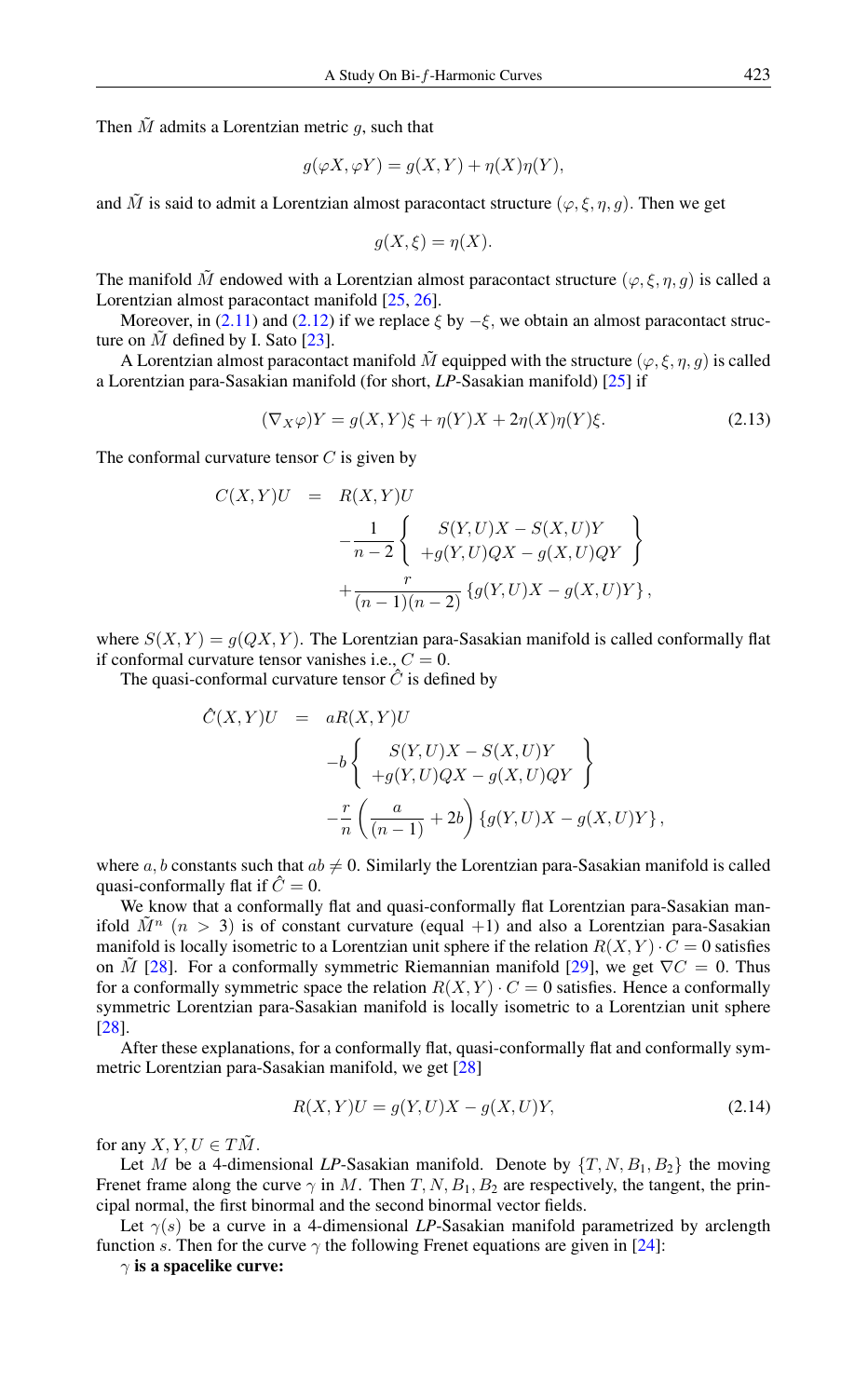Then  $\tilde{M}$  admits a Lorentzian metric  $q$ , such that

$$
g(\varphi X, \varphi Y) = g(X, Y) + \eta(X)\eta(Y),
$$

and  $\tilde{M}$  is said to admit a Lorentzian almost paracontact structure ( $\varphi, \xi, \eta, g$ ). Then we get

$$
g(X,\xi) = \eta(X).
$$

The manifold  $\tilde{M}$  endowed with a Lorentzian almost paracontact structure  $(\varphi, \xi, \eta, g)$  is called a Lorentzian almost paracontact manifold [\[25,](#page-8-17) [26\]](#page-8-23).

Moreover, in [\(2.11\)](#page-2-0) and [\(2.12\)](#page-2-1) if we replace  $\xi$  by  $-\xi$ , we obtain an almost paracontact structure on  $\tilde{M}$  defined by I. Sato [\[23\]](#page-8-24).

A Lorentzian almost paracontact manifold  $\tilde{M}$  equipped with the structure  $(\varphi, \xi, \eta, g)$  is called a Lorentzian para-Sasakian manifold (for short, *LP*-Sasakian manifold) [\[25\]](#page-8-17) if

$$
(\nabla_X \varphi)Y = g(X, Y)\xi + \eta(Y)X + 2\eta(X)\eta(Y)\xi.
$$
\n(2.13)

The conformal curvature tensor  $C$  is given by

$$
C(X,Y)U = R(X,Y)U
$$
  

$$
- \frac{1}{n-2} \left\{ \begin{array}{c} S(Y,U)X - S(X,U)Y \\ +g(Y,U)QX - g(X,U)QY \end{array} \right\}
$$
  

$$
+ \frac{r}{(n-1)(n-2)} \left\{ g(Y,U)X - g(X,U)Y \right\},
$$

where  $S(X, Y) = g(QX, Y)$ . The Lorentzian para-Sasakian manifold is called conformally flat if conformal curvature tensor vanishes i.e.,  $C = 0$ .

The quasi-conformal curvature tensor  $\hat{C}$  is defined by

$$
\hat{C}(X,Y)U = aR(X,Y)U
$$
  
\n
$$
-b \begin{cases}\nS(Y,U)X - S(X,U)Y \\
+g(Y,U)QX - g(X,U)QY\n\end{cases}
$$
  
\n
$$
-\frac{r}{n}\left(\frac{a}{(n-1)} + 2b\right)\left\{g(Y,U)X - g(X,U)Y\right\},
$$

where a, b constants such that  $ab \neq 0$ . Similarly the Lorentzian para-Sasakian manifold is called quasi-conformally flat if  $\hat{C} = 0$ .

We know that a conformally flat and quasi-conformally flat Lorentzian para-Sasakian manifold  $\tilde{M}^n$  ( $n > 3$ ) is of constant curvature (equal +1) and also a Lorentzian para-Sasakian manifold is locally isometric to a Lorentzian unit sphere if the relation  $R(X, Y) \cdot C = 0$  satisfies on M [\[28\]](#page-8-25). For a conformally symmetric Riemannian manifold [\[29\]](#page-8-26), we get  $\nabla C = 0$ . Thus for a conformally symmetric space the relation  $R(X, Y) \cdot C = 0$  satisfies. Hence a conformally symmetric Lorentzian para-Sasakian manifold is locally isometric to a Lorentzian unit sphere [\[28\]](#page-8-25).

After these explanations, for a conformally flat, quasi-conformally flat and conformally symmetric Lorentzian para-Sasakian manifold, we get [\[28\]](#page-8-25)

<span id="page-3-0"></span>
$$
R(X,Y)U = g(Y,U)X - g(X,U)Y,
$$
\n(2.14)

for any  $X, Y, U \in T\tilde{M}$ .

Let M be a 4-dimensional LP-Sasakian manifold. Denote by  $\{T, N, B_1, B_2\}$  the moving Frenet frame along the curve  $\gamma$  in M. Then T, N,  $B_1$ ,  $B_2$  are respectively, the tangent, the principal normal, the first binormal and the second binormal vector fields.

Let  $\gamma(s)$  be a curve in a 4-dimensional *LP*-Sasakian manifold parametrized by arclength function s. Then for the curve  $\gamma$  the following Frenet equations are given in [\[24\]](#page-8-27):

 $\gamma$  is a spacelike curve: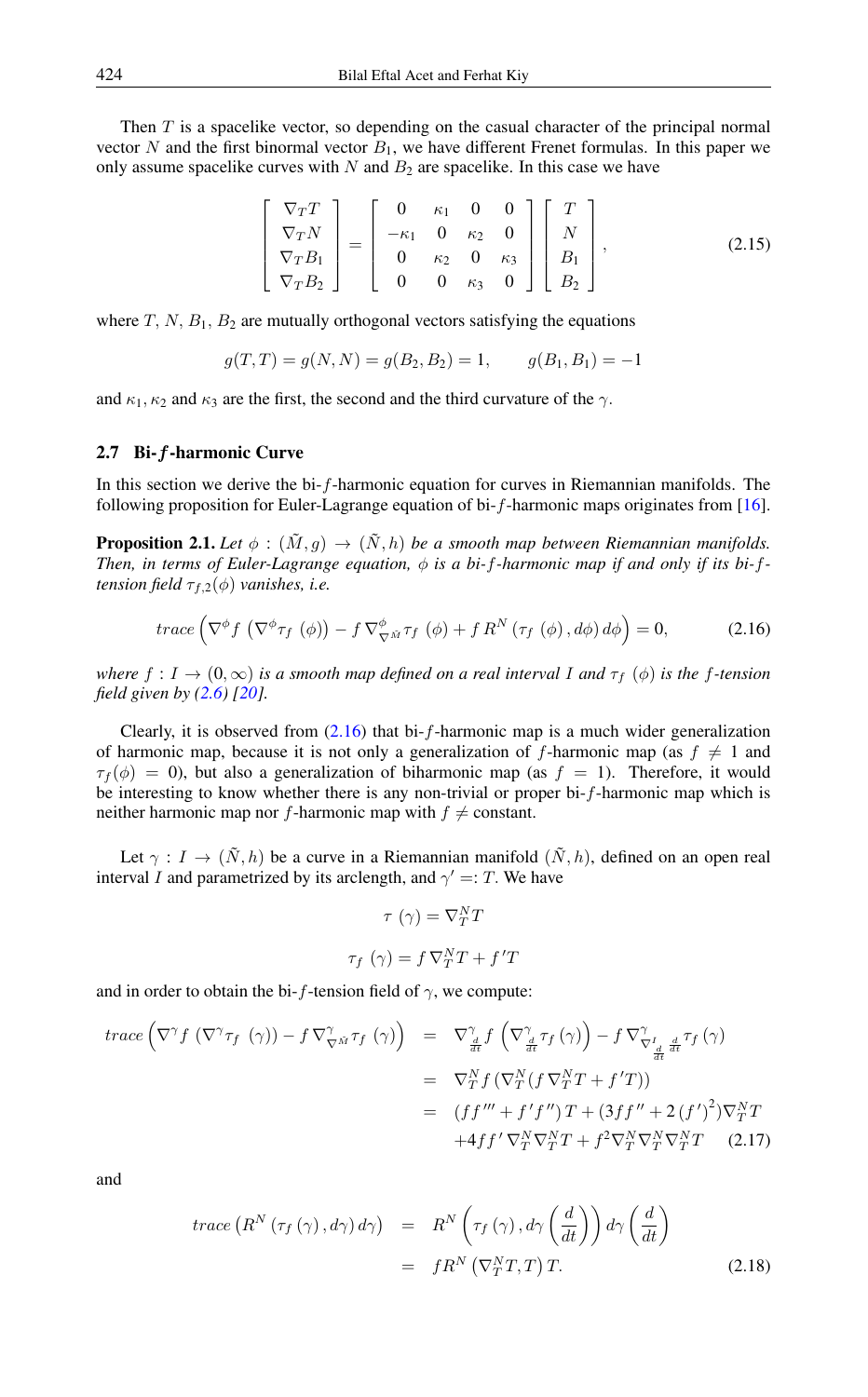Then T is a spacelike vector, so depending on the casual character of the principal normal vector N and the first binormal vector  $B_1$ , we have different Frenet formulas. In this paper we only assume spacelike curves with  $N$  and  $B_2$  are spacelike. In this case we have

<span id="page-4-1"></span>
$$
\begin{bmatrix}\n\nabla_T T \\
\nabla_T N \\
\nabla_T B_1 \\
\nabla_T B_2\n\end{bmatrix} = \begin{bmatrix}\n0 & \kappa_1 & 0 & 0 \\
-\kappa_1 & 0 & \kappa_2 & 0 \\
0 & \kappa_2 & 0 & \kappa_3 \\
0 & 0 & \kappa_3 & 0\n\end{bmatrix} \begin{bmatrix}\nT \\
N \\
B_1 \\
B_2\n\end{bmatrix},
$$
\n(2.15)

where  $T$ ,  $N$ ,  $B_1$ ,  $B_2$  are mutually orthogonal vectors satisfying the equations

$$
g(T,T) = g(N,N) = g(B_2, B_2) = 1, \qquad g(B_1, B_1) = -1
$$

and  $\kappa_1, \kappa_2$  and  $\kappa_3$  are the first, the second and the third curvature of the  $\gamma$ .

#### 2.7 Bi-f-harmonic Curve

In this section we derive the bi-f-harmonic equation for curves in Riemannian manifolds. The following proposition for Euler-Lagrange equation of bi-f-harmonic maps originates from [\[16\]](#page-8-14).

**Proposition 2.1.** *Let*  $\phi$  :  $(\tilde{M}, g) \to (\tilde{N}, h)$  *be a smooth map between Riemannian manifolds. Then, in terms of Euler-Lagrange equation,*  $\phi$  *is a bi-f-harmonic map if and only if its bi-ftension field*  $\tau_{f,2}(\phi)$  *vanishes, i.e.* 

<span id="page-4-0"></span>
$$
trace\left(\nabla^{\phi} f\left(\nabla^{\phi} \tau_f\left(\phi\right)\right) - f \nabla^{\phi}_{\nabla \tilde{M}} \tau_f\left(\phi\right) + f R^N\left(\tau_f\left(\phi\right), d\phi\right) d\phi\right) = 0, \tag{2.16}
$$

*where*  $f: I \to (0, \infty)$  *is a smooth map defined on a real interval I and*  $\tau_f$  ( $\phi$ ) *is the* f-tension *field given by [\(2.6\)](#page-1-0) [\[20\]](#page-8-28).*

Clearly, it is observed from  $(2.16)$  that bi-f-harmonic map is a much wider generalization of harmonic map, because it is not only a generalization of f-harmonic map (as  $f \neq 1$  and  $\tau_f(\phi) = 0$ , but also a generalization of biharmonic map (as  $f = 1$ ). Therefore, it would be interesting to know whether there is any non-trivial or proper bi-f-harmonic map which is neither harmonic map nor f-harmonic map with  $f \neq$  constant.

Let  $\gamma : I \to (\tilde{N}, h)$  be a curve in a Riemannian manifold  $(\tilde{N}, h)$ , defined on an open real interval I and parametrized by its arclength, and  $\gamma' =: T$ . We have

$$
\tau(\gamma) = \nabla_T^N T
$$

$$
\tau_f(\gamma) = f \nabla_T^N T + f'T
$$

and in order to obtain the bi-f-tension field of  $\gamma$ , we compute:

$$
trace \left( \nabla^{\gamma} f \left( \nabla^{\gamma} \tau_f \left( \gamma \right) \right) - f \nabla^{\gamma}_{\nabla^{\tilde{M}}} \tau_f \left( \gamma \right) \right) = \nabla^{\gamma}_{\frac{d}{dt}} f \left( \nabla^{\gamma}_{\frac{d}{dt}} \tau_f \left( \gamma \right) \right) - f \nabla^{\gamma}_{\nabla^{\gamma}_{\frac{d}{dt}} \frac{d}{dt}} \tau_f \left( \gamma \right)
$$
\n
$$
= \nabla^N_T f \left( \nabla^N_T (f \nabla^N_T T + f' T) \right)
$$
\n
$$
= \left( f f''' + f' f'' \right) T + \left( 3 f f'' + 2 \left( f' \right)^2 \right) \nabla^N_T T
$$
\n
$$
+ 4 f f' \nabla^N_T \nabla^N_T T + f^2 \nabla^N_T \nabla^N_T \nabla^N_T T \quad (2.17)
$$

and

$$
trace\left(R^{N}\left(\tau_{f}\left(\gamma\right),d\gamma\right)d\gamma\right) = R^{N}\left(\tau_{f}\left(\gamma\right),d\gamma\left(\frac{d}{dt}\right)\right)d\gamma\left(\frac{d}{dt}\right)
$$

$$
= fR^{N}\left(\nabla_{T}^{N}T,T\right)T.
$$
 (2.18)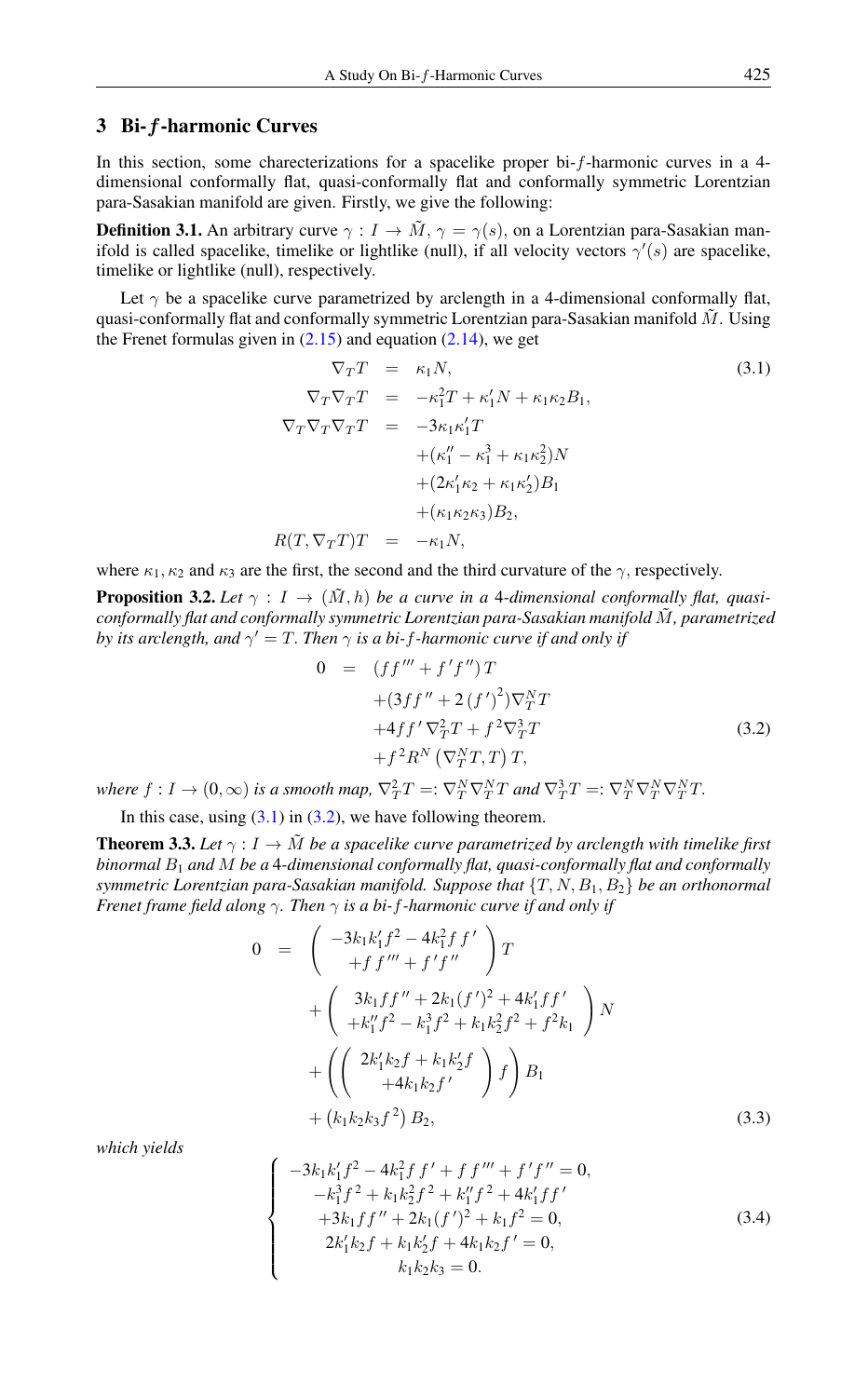# 3 Bi-f-harmonic Curves

In this section, some charecterizations for a spacelike proper bi-f-harmonic curves in a 4 dimensional conformally flat, quasi-conformally flat and conformally symmetric Lorentzian para-Sasakian manifold are given. Firstly, we give the following:

**Definition 3.1.** An arbitrary curve  $\gamma : I \to \tilde{M}$ ,  $\gamma = \gamma(s)$ , on a Lorentzian para-Sasakian manifold is called spacelike, timelike or lightlike (null), if all velocity vectors  $\gamma'(s)$  are spacelike, timelike or lightlike (null), respectively.

Let  $\gamma$  be a spacelike curve parametrized by arclength in a 4-dimensional conformally flat, quasi-conformally flat and conformally symmetric Lorentzian para-Sasakian manifold  $\tilde{M}$ . Using the Frenet formulas given in  $(2.15)$  and equation  $(2.14)$ , we get

<span id="page-5-0"></span>
$$
\nabla_T T = \kappa_1 N,
$$
\n
$$
\nabla_T \nabla_T T = -\kappa_1^2 T + \kappa_1' N + \kappa_1 \kappa_2 B_1,
$$
\n
$$
\nabla_T \nabla_T T = -3\kappa_1 \kappa_1' T
$$
\n
$$
+(\kappa_1'' - \kappa_1^3 + \kappa_1 \kappa_2^2) N
$$
\n
$$
+(2\kappa_1' \kappa_2 + \kappa_1 \kappa_2') B_1
$$
\n
$$
+(\kappa_1 \kappa_2 \kappa_3) B_2,
$$
\n
$$
R(T, \nabla_T T) T = -\kappa_1 N,
$$
\n(3.1)

where  $\kappa_1$ ,  $\kappa_2$  and  $\kappa_3$  are the first, the second and the third curvature of the  $\gamma$ , respectively.

**Proposition 3.2.** Let  $\gamma : I \to (\tilde{M}, h)$  be a curve in a 4-dimensional conformally flat, quasi*conformally flat and conformally symmetric Lorentzian para-Sasakian manifold* M˜ *, parametrized by its arclength, and*  $\gamma' = T$ . *Then*  $\gamma$  *is a bi-f-harmonic curve if and only if* 

<span id="page-5-1"></span>
$$
0 = (ff''' + f'f'')T +(3ff'' + 2(f')^2)\nabla_T^N T +4ff'\nabla_T^2 T + f^2\nabla_T^3 T +f^2 R^N (\nabla_T^N T, T) T,
$$
\n(3.2)

where  $f: I \to (0, \infty)$  is a smooth map,  $\nabla_T^2 T =: \nabla_T^N \nabla_T^N T$  and  $\nabla_T^3 T =: \nabla_T^N \nabla_T^N \nabla_T^N T$ .

In this case, using  $(3.1)$  in  $(3.2)$ , we have following theorem.

**Theorem 3.3.** Let  $\gamma: I \to \tilde{M}$  be a spacelike curve parametrized by arclength with timelike first *binormal* B<sup>1</sup> *and* M *be a* 4*-dimensional conformally flat, quasi-conformally flat and conformally symmetric Lorentzian para-Sasakian manifold. Suppose that* {T, N, B1, B2} *be an orthonormal Frenet frame field along* γ*. Then* γ *is a bi-*f*-harmonic curve if and only if*

$$
0 = \begin{pmatrix} -3k_1k'_1f^2 - 4k_1^2f f' \\ + f f''' + f' f'' \end{pmatrix} T + \begin{pmatrix} 3k_1ff'' + 2k_1(f')^2 + 4k'_1ff' \\ +k''_1f^2 - k_1^3f^2 + k_1k_2^2f^2 + f^2k_1 \end{pmatrix} N + \begin{pmatrix} 2k'_1k_2f + k_1k'_2f \\ +4k_1k_2f' \end{pmatrix} f \begin{pmatrix} B_1 \\ B_1 \end{pmatrix} + (k_1k_2k_3f^2) B_2,
$$
 (3.3)

*which yields*

<span id="page-5-2"></span>
$$
\begin{cases}\n-3k_1k'_1f^2 - 4k_1^2f f' + f f''' + f' f'' = 0, \\
-k_1^3f^2 + k_1k_2^2f^2 + k''_1f^2 + 4k'_1ff' \\
+3k_1ff'' + 2k_1(f')^2 + k_1f^2 = 0, \\
2k'_1k_2f + k_1k'_2f + 4k_1k_2f' = 0, \\
k_1k_2k_3 = 0.\n\end{cases}
$$
\n(3.4)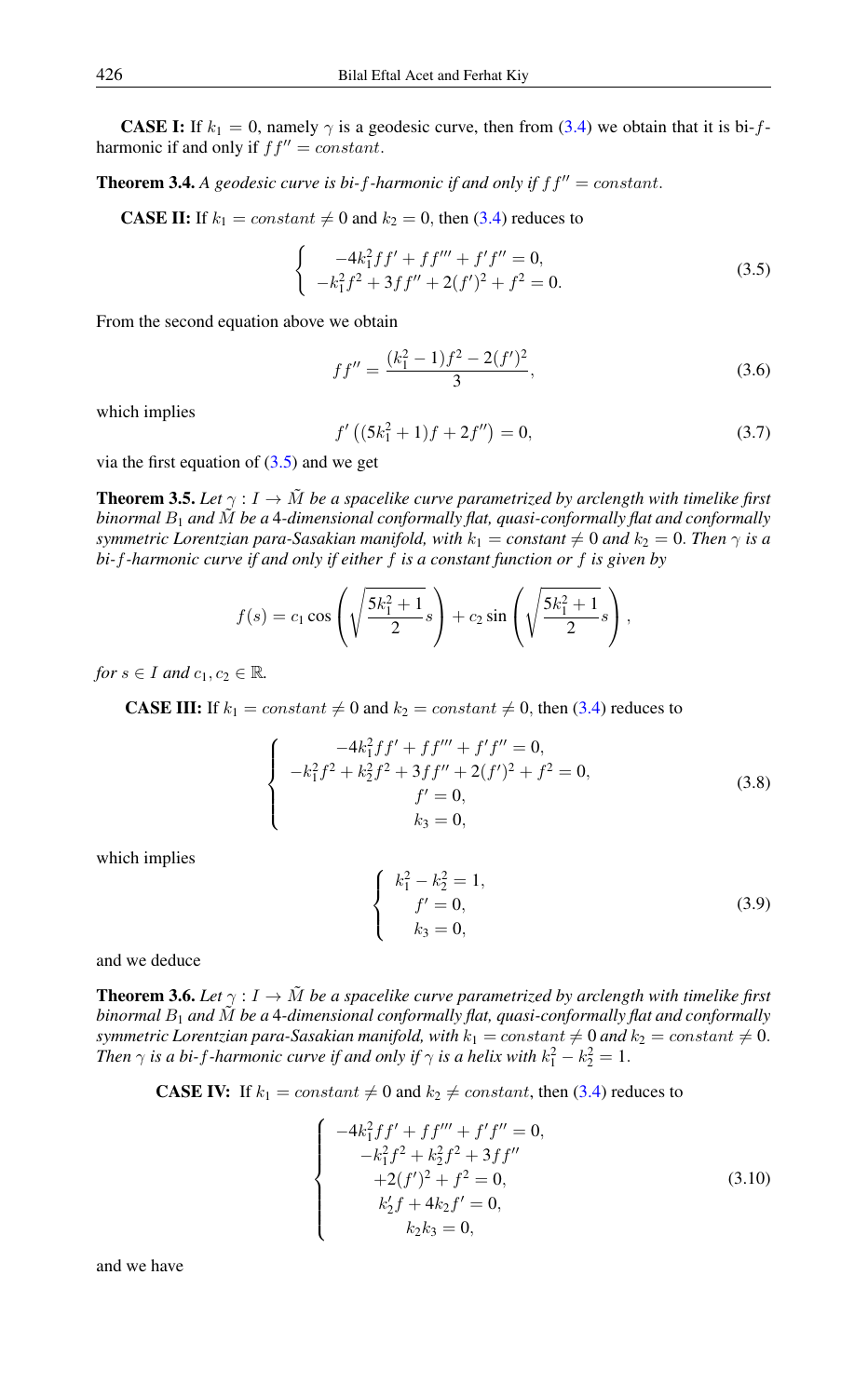**CASE I:** If  $k_1 = 0$ , namely  $\gamma$  is a geodesic curve, then from [\(3.4\)](#page-5-2) we obtain that it is bi-fharmonic if and only if  $ff'' = constant$ .

**Theorem 3.4.** A geodesic curve is bi-f-harmonic if and only if  $ff'' = constant$ .

**CASE II:** If  $k_1 = constant \neq 0$  and  $k_2 = 0$ , then [\(3.4\)](#page-5-2) reduces to

$$
\begin{cases}\n-4k_1^2 f f' + f f''' + f' f'' = 0, \\
-k_1^2 f^2 + 3f f'' + 2(f')^2 + f^2 = 0.\n\end{cases}
$$
\n(3.5)

From the second equation above we obtain

<span id="page-6-0"></span>
$$
ff'' = \frac{(k_1^2 - 1)f^2 - 2(f')^2}{3},\tag{3.6}
$$

which implies

$$
f'\left((5k_1^2+1)f+2f''\right)=0,\t(3.7)
$$

via the first equation of  $(3.5)$  and we get

**Theorem 3.5.** Let  $\gamma : I \to \tilde{M}$  be a spacelike curve parametrized by arclength with timelike first *binormal* B<sup>1</sup> *and* M˜ *be a* 4*-dimensional conformally flat, quasi-conformally flat and conformally symmetric Lorentzian para-Sasakian manifold, with*  $k_1 = constant \neq 0$  *and*  $k_2 = 0$ . *Then*  $\gamma$  *is a bi-*f*-harmonic curve if and only if either* f *is a constant function or* f *is given by*

$$
f(s) = c_1 \cos \left( \sqrt{\frac{5k_1^2 + 1}{2}} s \right) + c_2 \sin \left( \sqrt{\frac{5k_1^2 + 1}{2}} s \right),
$$

*for*  $s \in I$  *and*  $c_1, c_2 \in \mathbb{R}$ *.* 

**CASE III:** If  $k_1 = constant \neq 0$  and  $k_2 = constant \neq 0$ , then [\(3.4\)](#page-5-2) reduces to

$$
\begin{cases}\n-4k_1^2 f f' + f f''' + f' f'' = 0, \\
-k_1^2 f^2 + k_2^2 f^2 + 3f f'' + 2(f')^2 + f^2 = 0, \\
f' = 0, \\
k_3 = 0,\n\end{cases}
$$
\n(3.8)

which implies

$$
\begin{cases}\nk_1^2 - k_2^2 = 1, \\
f' = 0, \\
k_3 = 0,\n\end{cases}
$$
\n(3.9)

and we deduce

**Theorem 3.6.** Let  $\gamma : I \to \tilde{M}$  be a spacelike curve parametrized by arclength with timelike first *binormal* B<sup>1</sup> *and* M˜ *be a* 4*-dimensional conformally flat, quasi-conformally flat and conformally symmetric Lorentzian para-Sasakian manifold, with*  $k_1 = constant \neq 0$  *and*  $k_2 = constant \neq 0$ . *Then*  $\gamma$  *is a bi-f-harmonic curve if and only if*  $\gamma$  *is a helix with*  $k_1^2 - k_2^2 = 1$ .

**CASE IV:** If  $k_1 = constant \neq 0$  and  $k_2 \neq constant$ , then [\(3.4\)](#page-5-2) reduces to

$$
\begin{cases}\n-4k_1^2 f f' + f f''' + f' f'' = 0, \\
-k_1^2 f^2 + k_2^2 f^2 + 3 f f'' \\
+2(f')^2 + f^2 = 0, \\
k_2' f + 4k_2 f' = 0, \\
k_2 k_3 = 0,\n\end{cases}
$$
\n(3.10)

and we have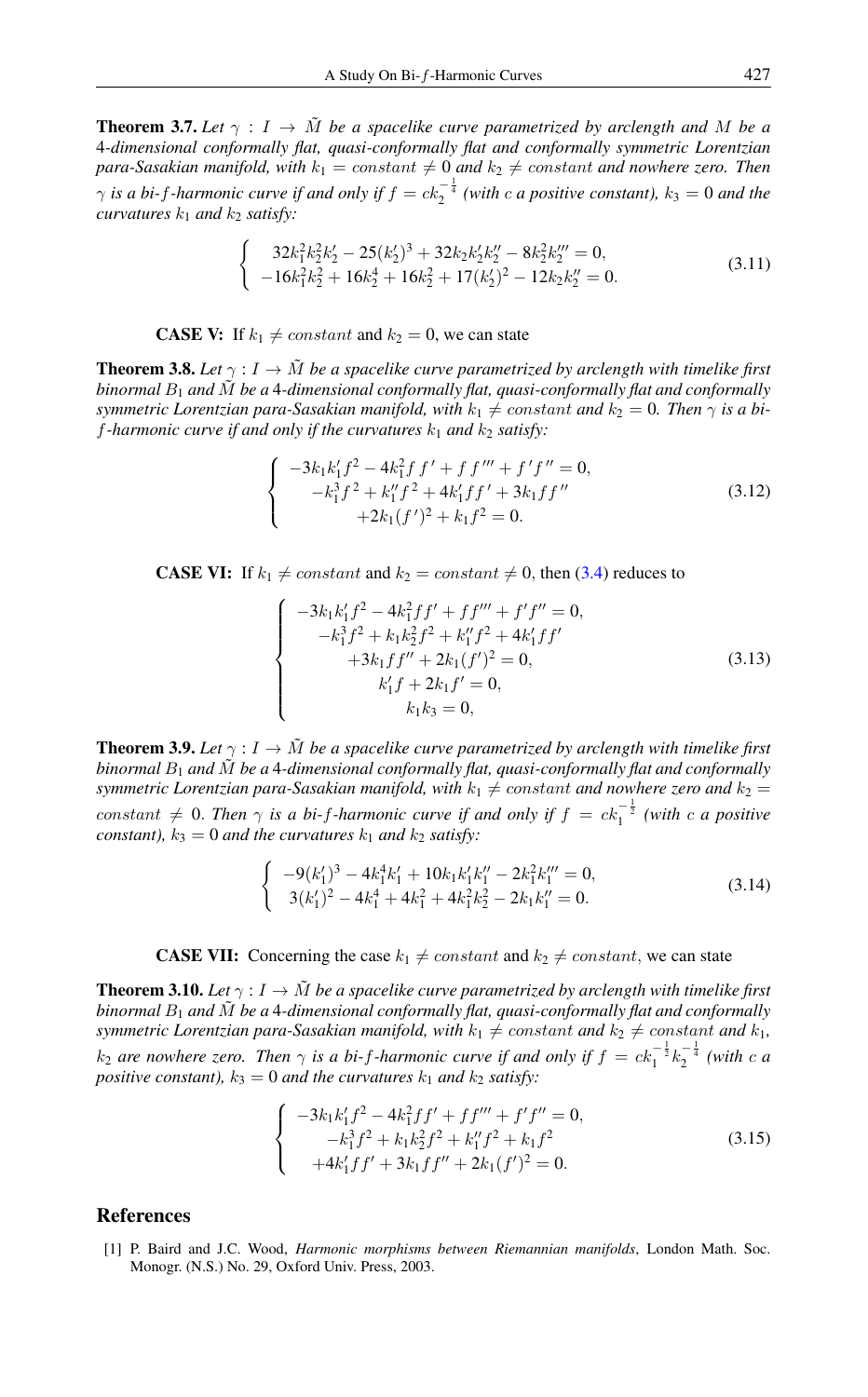**Theorem 3.7.** Let  $\gamma : I \to \tilde{M}$  be a spacelike curve parametrized by arclength and M be a 4*-dimensional conformally flat, quasi-conformally flat and conformally symmetric Lorentzian para-Sasakian manifold, with*  $k_1 = constant \neq 0$  *and*  $k_2 \neq constant$  *and nowhere zero. Then*  $\gamma$  *is a bi-f-harmonic curve if and only if*  $f = ck_2^{-\frac{1}{4}}$  (with *c a positive constant*),  $k_3 = 0$  *and the curvatures*  $k_1$  *and*  $k_2$  *satisfy:* 

$$
\begin{cases}\n32k_1^2k_2^2k_2^2 - 25(k_2^2)^3 + 32k_2k_2^2k_2^{\prime\prime} - 8k_2^2k_2^{\prime\prime\prime} = 0, \\
-16k_1^2k_2^2 + 16k_2^4 + 16k_2^2 + 17(k_2^2)^2 - 12k_2k_2^{\prime\prime} = 0.\n\end{cases} (3.11)
$$

**CASE V:** If  $k_1 \neq constant$  and  $k_2 = 0$ , we can state

**Theorem 3.8.** Let  $\gamma : I \to \tilde{M}$  be a spacelike curve parametrized by arclength with timelike first *binormal*  $B_1$  *and*  $\tilde{M}$  *be a* 4-dimensional conformally flat, quasi-conformally flat and conformally *symmetric Lorentzian para-Sasakian manifold, with*  $k_1 \neq constant$  *and*  $k_2 = 0$ *. Then*  $\gamma$  *is a bif*-harmonic curve if and only if the curvatures  $k_1$  and  $k_2$  satisfy:

$$
\begin{cases}\n-3k_1k'_1f^2 - 4k_1^2f f' + f f''' + f' f'' = 0, \\
-k_1^3f^2 + k''_1f^2 + 4k'_1f f' + 3k_1f f'' \\
+2k_1(f')^2 + k_1f^2 = 0.\n\end{cases}
$$
\n(3.12)

**CASE VI:** If  $k_1 \neq constant$  and  $k_2 = constant \neq 0$ , then [\(3.4\)](#page-5-2) reduces to

$$
\begin{cases}\n-3k_1k'_1f^2 - 4k_1^2ff' + ff''' + f'f'' = 0, \\
-k_1^3f^2 + k_1k_2^2f^2 + k''_1f^2 + 4k'_1ff' \\
+3k_1ff'' + 2k_1(f')^2 = 0, \\
k'_1f + 2k_1f' = 0, \\
k_1k_3 = 0,\n\end{cases}
$$
\n(3.13)

**Theorem 3.9.** Let  $\gamma : I \to \tilde{M}$  be a spacelike curve parametrized by arclength with timelike first *binormal* B<sup>1</sup> *and* M˜ *be a* 4*-dimensional conformally flat, quasi-conformally flat and conformally symmetric Lorentzian para-Sasakian manifold, with*  $k_1 \neq$  constant *and nowhere zero and*  $k_2 =$ constant  $\neq$  0. Then  $\gamma$  *is a bi-f-harmonic curve if and only if*  $f = ck_1^{-\frac{1}{2}}$  (with *c a positive constant),*  $k_3 = 0$  *and the curvatures*  $k_1$  *and*  $k_2$  *satisfy:* 

$$
\begin{cases}\n-9(k'_1)^3 - 4k_1^4k'_1 + 10k_1k'_1k''_1 - 2k_1^2k''_1 = 0, \\
3(k'_1)^2 - 4k_1^4 + 4k_1^2 + 4k_1^2k_2^2 - 2k_1k''_1 = 0.\n\end{cases}
$$
\n(3.14)

**CASE VII:** Concerning the case  $k_1 \neq constant$  and  $k_2 \neq constant$ , we can state

**Theorem 3.10.** Let  $\gamma : I \to \tilde{M}$  be a spacelike curve parametrized by arclength with timelike first *binormal* B<sup>1</sup> *and* M˜ *be a* 4*-dimensional conformally flat, quasi-conformally flat and conformally symmetric Lorentzian para-Sasakian manifold, with*  $k_1 \neq constant$  *and*  $k_2 \neq constant$  *and*  $k_1$ *,*  $k_2$  are nowhere zero. Then  $\gamma$  is a bi-f-harmonic curve if and only if  $f = c k_1^{-\frac{1}{2}} k_2^{-\frac{1}{4}}$  (with c a *positive constant),*  $k_3 = 0$  *and the curvatures*  $k_1$  *and*  $k_2$  *satisfy:* 

$$
\begin{cases}\n-3k_1k'_1f^2 - 4k_1^2ff' + ff''' + f'f'' = 0, \\
-k_1^3f^2 + k_1k_2^2f^2 + k''_1f^2 + k_1f^2 \\
+4k'_1ff' + 3k_1ff'' + 2k_1(f')^2 = 0.\n\end{cases}
$$
\n(3.15)

# <span id="page-7-0"></span>References

<span id="page-7-1"></span>[1] P. Baird and J.C. Wood, *Harmonic morphisms between Riemannian manifolds*, London Math. Soc. Monogr. (N.S.) No. 29, Oxford Univ. Press, 2003.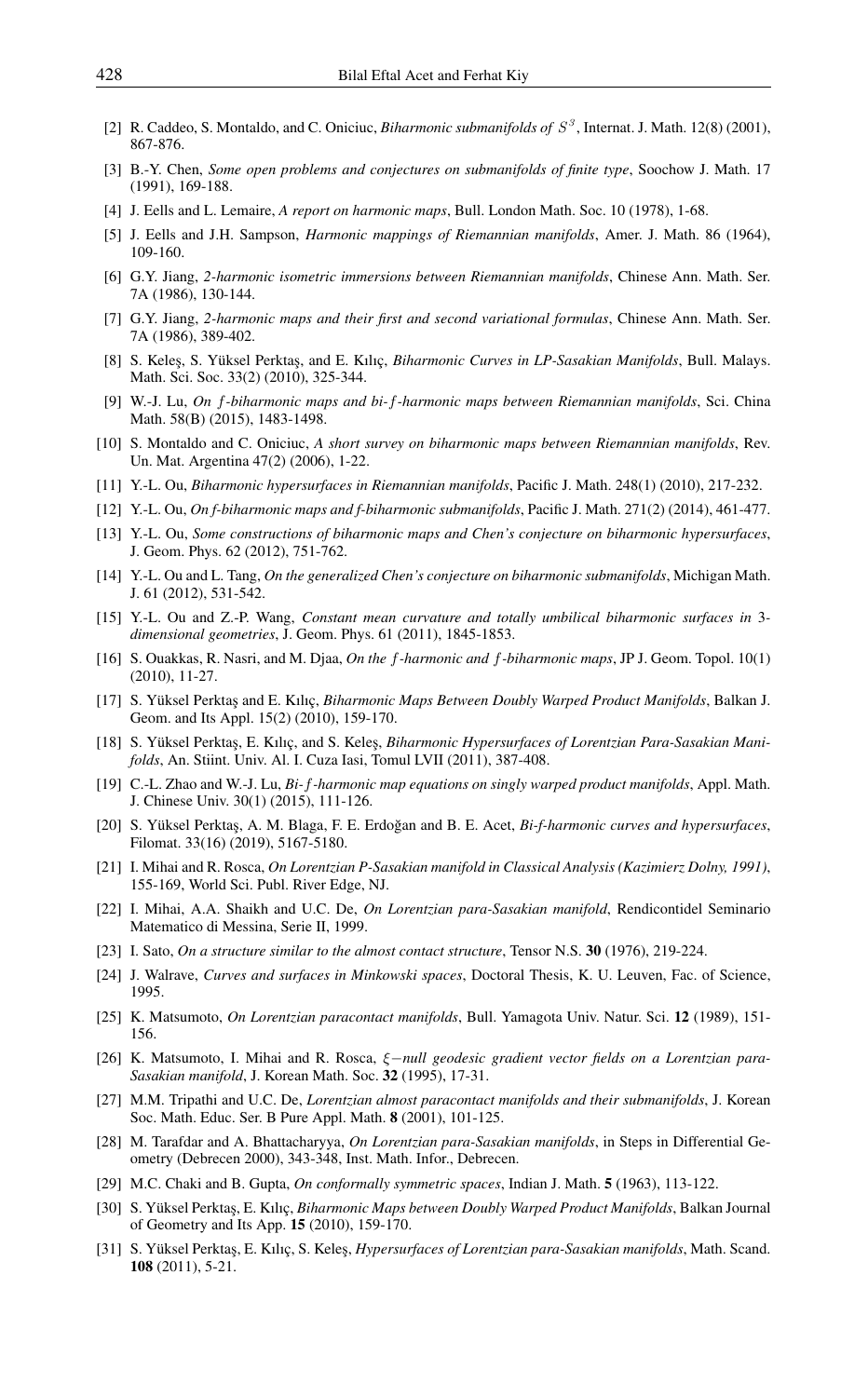- <span id="page-8-4"></span>[2] R. Caddeo, S. Montaldo, and C. Oniciuc, *Biharmonic submanifolds of* S 3 , Internat. J. Math. 12(8) (2001), 867-876.
- <span id="page-8-1"></span>[3] B.-Y. Chen, *Some open problems and conjectures on submanifolds of finite type*, Soochow J. Math. 17 (1991), 169-188.
- <span id="page-8-12"></span>[4] J. Eells and L. Lemaire, *A report on harmonic maps*, Bull. London Math. Soc. 10 (1978), 1-68.
- <span id="page-8-0"></span>[5] J. Eells and J.H. Sampson, *Harmonic mappings of Riemannian manifolds*, Amer. J. Math. 86 (1964), 109-160.
- <span id="page-8-22"></span>[6] G.Y. Jiang, *2-harmonic isometric immersions between Riemannian manifolds*, Chinese Ann. Math. Ser. 7A (1986), 130-144.
- <span id="page-8-2"></span>[7] G.Y. Jiang, *2-harmonic maps and their first and second variational formulas*, Chinese Ann. Math. Ser. 7A (1986), 389-402.
- <span id="page-8-5"></span>[8] S. Kele¸s, S. Yüksel Perkta¸s, and E. Kılıç, *Biharmonic Curves in LP-Sasakian Manifolds*, Bull. Malays. Math. Sci. Soc. 33(2) (2010), 325-344.
- <span id="page-8-15"></span>[9] W.-J. Lu, *On* f*-biharmonic maps and bi-*f*-harmonic maps between Riemannian manifolds*, Sci. China Math. 58(B) (2015), 1483-1498.
- <span id="page-8-3"></span>[10] S. Montaldo and C. Oniciuc, *A short survey on biharmonic maps between Riemannian manifolds*, Rev. Un. Mat. Argentina 47(2) (2006), 1-22.
- <span id="page-8-6"></span>[11] Y.-L. Ou, *Biharmonic hypersurfaces in Riemannian manifolds*, Pacific J. Math. 248(1) (2010), 217-232.
- <span id="page-8-16"></span>[12] Y.-L. Ou, *On f-biharmonic maps and f-biharmonic submanifolds*, Pacific J. Math. 271(2) (2014), 461-477.
- <span id="page-8-7"></span>[13] Y.-L. Ou, *Some constructions of biharmonic maps and Chen's conjecture on biharmonic hypersurfaces*, J. Geom. Phys. 62 (2012), 751-762.
- <span id="page-8-8"></span>[14] Y.-L. Ou and L. Tang, *On the generalized Chen's conjecture on biharmonic submanifolds*, Michigan Math. J. 61 (2012), 531-542.
- <span id="page-8-9"></span>[15] Y.-L. Ou and Z.-P. Wang, *Constant mean curvature and totally umbilical biharmonic surfaces in* 3 *dimensional geometries*, J. Geom. Phys. 61 (2011), 1845-1853.
- <span id="page-8-14"></span>[16] S. Ouakkas, R. Nasri, and M. Djaa, *On the* f*-harmonic and* f*-biharmonic maps*, JP J. Geom. Topol. 10(1) (2010), 11-27.
- <span id="page-8-10"></span>[17] S. Yüksel Perkta¸s and E. Kılıç, *Biharmonic Maps Between Doubly Warped Product Manifolds*, Balkan J. Geom. and Its Appl. 15(2) (2010), 159-170.
- <span id="page-8-11"></span>[18] S. Yüksel Perktaş, E. Kılıç, and S. Keleş, *Biharmonic Hypersurfaces of Lorentzian Para-Sasakian Manifolds*, An. Stiint. Univ. Al. I. Cuza Iasi, Tomul LVII (2011), 387-408.
- <span id="page-8-13"></span>[19] C.-L. Zhao and W.-J. Lu, *Bi-*f*-harmonic map equations on singly warped product manifolds*, Appl. Math. J. Chinese Univ. 30(1) (2015), 111-126.
- <span id="page-8-28"></span>[20] S. Yüksel Perktaş, A. M. Blaga, F. E. Erdoğan and B. E. Acet, Bi-f-harmonic curves and hypersurfaces, Filomat. 33(16) (2019), 5167-5180.
- <span id="page-8-18"></span>[21] I. Mihai and R. Rosca, *On Lorentzian P-Sasakian manifold in Classical Analysis (Kazimierz Dolny, 1991)*, 155-169, World Sci. Publ. River Edge, NJ.
- <span id="page-8-19"></span>[22] I. Mihai, A.A. Shaikh and U.C. De, *On Lorentzian para-Sasakian manifold*, Rendicontidel Seminario Matematico di Messina, Serie II, 1999.
- <span id="page-8-24"></span>[23] I. Sato, *On a structure similar to the almost contact structure*, Tensor N.S. 30 (1976), 219-224.
- <span id="page-8-27"></span>[24] J. Walrave, *Curves and surfaces in Minkowski spaces*, Doctoral Thesis, K. U. Leuven, Fac. of Science, 1995.
- <span id="page-8-17"></span>[25] K. Matsumoto, *On Lorentzian paracontact manifolds*, Bull. Yamagota Univ. Natur. Sci. 12 (1989), 151- 156.
- <span id="page-8-23"></span>[26] K. Matsumoto, I. Mihai and R. Rosca, ξ−*null geodesic gradient vector fields on a Lorentzian para-Sasakian manifold*, J. Korean Math. Soc. 32 (1995), 17-31.
- <span id="page-8-20"></span>[27] M.M. Tripathi and U.C. De, *Lorentzian almost paracontact manifolds and their submanifolds*, J. Korean Soc. Math. Educ. Ser. B Pure Appl. Math. 8 (2001), 101-125.
- <span id="page-8-25"></span>[28] M. Tarafdar and A. Bhattacharyya, *On Lorentzian para-Sasakian manifolds*, in Steps in Differential Geometry (Debrecen 2000), 343-348, Inst. Math. Infor., Debrecen.
- <span id="page-8-26"></span>[29] M.C. Chaki and B. Gupta, *On conformally symmetric spaces*, Indian J. Math. 5 (1963), 113-122.
- [30] S. Yüksel Perktaş, E. Kılıç, *Biharmonic Maps between Doubly Warped Product Manifolds*, Balkan Journal of Geometry and Its App. 15 (2010), 159-170.
- <span id="page-8-21"></span>[31] S. Yüksel Perktaş, E. Kılıç, S. Keleş, *Hypersurfaces of Lorentzian para-Sasakian manifolds*, Math. Scand. 108 (2011), 5-21.